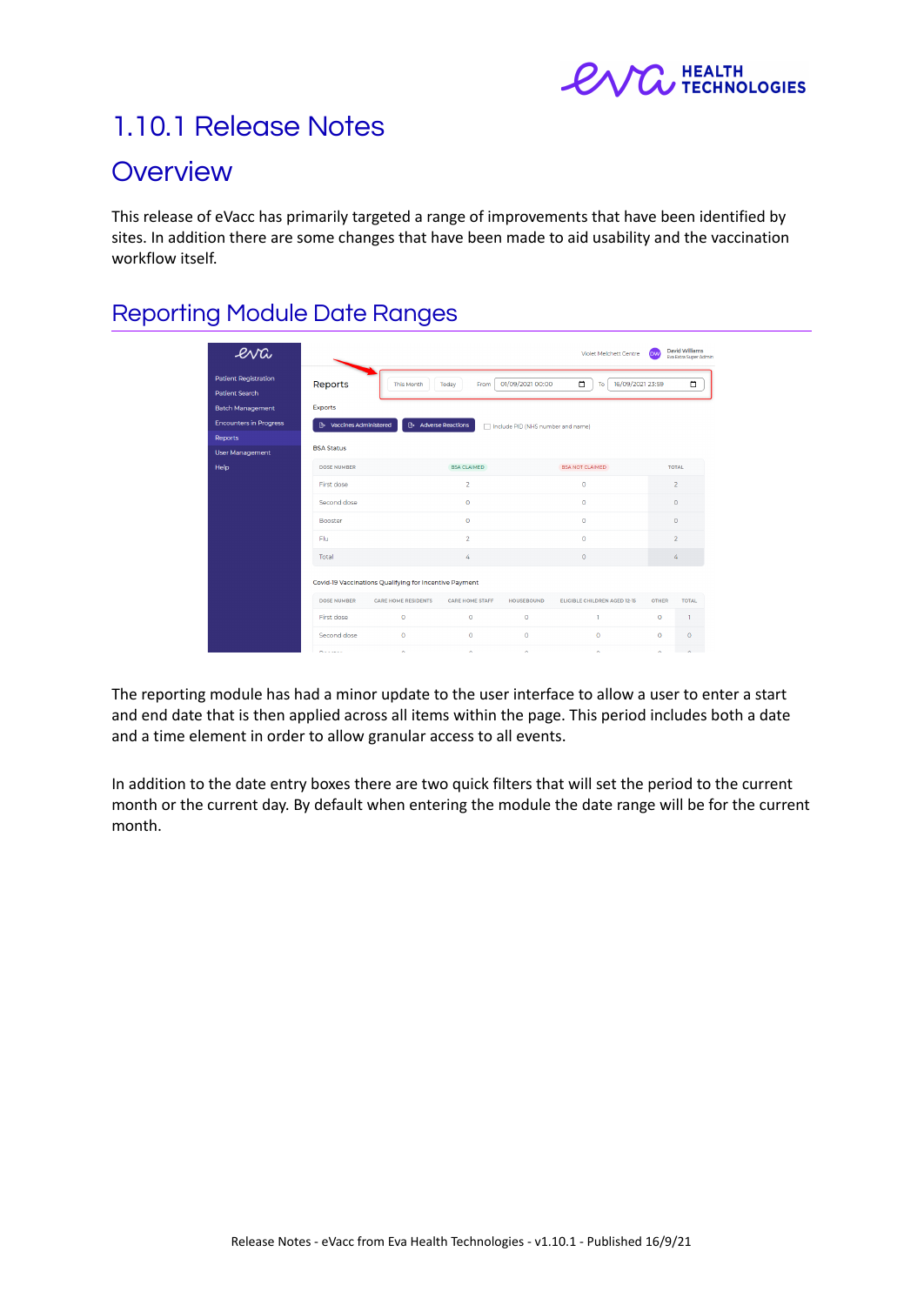

# 1.10.1 Release Notes

## **Overview**

This release of eVacc has primarily targeted a range of improvements that have been identified by sites. In addition there are some changes that have been made to aid usability and the vaccination workflow itself.

### Reporting Module Date Ranges

| eva<br><b>Patient Registration</b><br><b>Patient Search</b> | Reports                                                | <b>This Month</b>          | From<br>Today          | 01/09/2021 00:00                  | $\Box$<br>16/09/2021 23:59<br>To |                | ۵            |
|-------------------------------------------------------------|--------------------------------------------------------|----------------------------|------------------------|-----------------------------------|----------------------------------|----------------|--------------|
| <b>Batch Management</b>                                     | Exports                                                |                            |                        |                                   |                                  |                |              |
| <b>Encounters in Progress</b>                               | <b>B</b> Vaccines Administered                         | <b>Adverse Reactions</b>   |                        | Include PID (NHS number and name) |                                  |                |              |
| Reports                                                     |                                                        |                            |                        |                                   |                                  |                |              |
| User Management                                             | <b>BSA Status</b>                                      |                            |                        |                                   |                                  |                |              |
| Help                                                        | <b>DOSE NUMBER</b>                                     |                            | <b>BSA CLAIMED</b>     |                                   | <b>BSA NOT CLAIMED</b>           | <b>TOTAL</b>   |              |
|                                                             | First dose                                             |                            | $\overline{2}$         |                                   | $\bullet$                        | $\overline{2}$ |              |
|                                                             | Second dose                                            |                            | $\circ$                |                                   | $\circ$                          |                | $\circ$      |
|                                                             | <b>Booster</b>                                         |                            | $\circ$                |                                   | $\circ$                          |                | $\circ$      |
|                                                             | Flu                                                    |                            |                        |                                   | $\circ$                          | $\overline{2}$ |              |
|                                                             | Total                                                  |                            |                        |                                   | $\circ$                          | 4              |              |
|                                                             | Covid-19 Vaccinations Qualifying for Incentive Payment |                            |                        |                                   |                                  |                |              |
|                                                             | <b>DOSE NUMBER</b>                                     | <b>CARE HOME RESIDENTS</b> | <b>CARE HOME STAFF</b> | <b>HOUSEBOUND</b>                 | ELIGIBLE CHILDREN AGED 12-15     | <b>OTHER</b>   | <b>TOTAL</b> |
|                                                             | First dose                                             | $\circ$                    | $\circ$                | $\circ$                           | n.                               | $\bullet$      | $\mathbf{I}$ |
|                                                             | Second dose                                            | $\bullet$                  | $\bullet$              | $\bullet$                         | $\bullet$                        | $\circ$        | $\circ$      |
|                                                             | <b>Production</b>                                      | $\sim$                     | $\sim$                 | $\sim$                            | $\sim$                           | $\sim$         | $\sim$       |

The reporting module has had a minor update to the user interface to allow a user to enter a start and end date that is then applied across all items within the page. This period includes both a date and a time element in order to allow granular access to all events.

In addition to the date entry boxes there are two quick filters that will set the period to the current month or the current day. By default when entering the module the date range will be for the current month.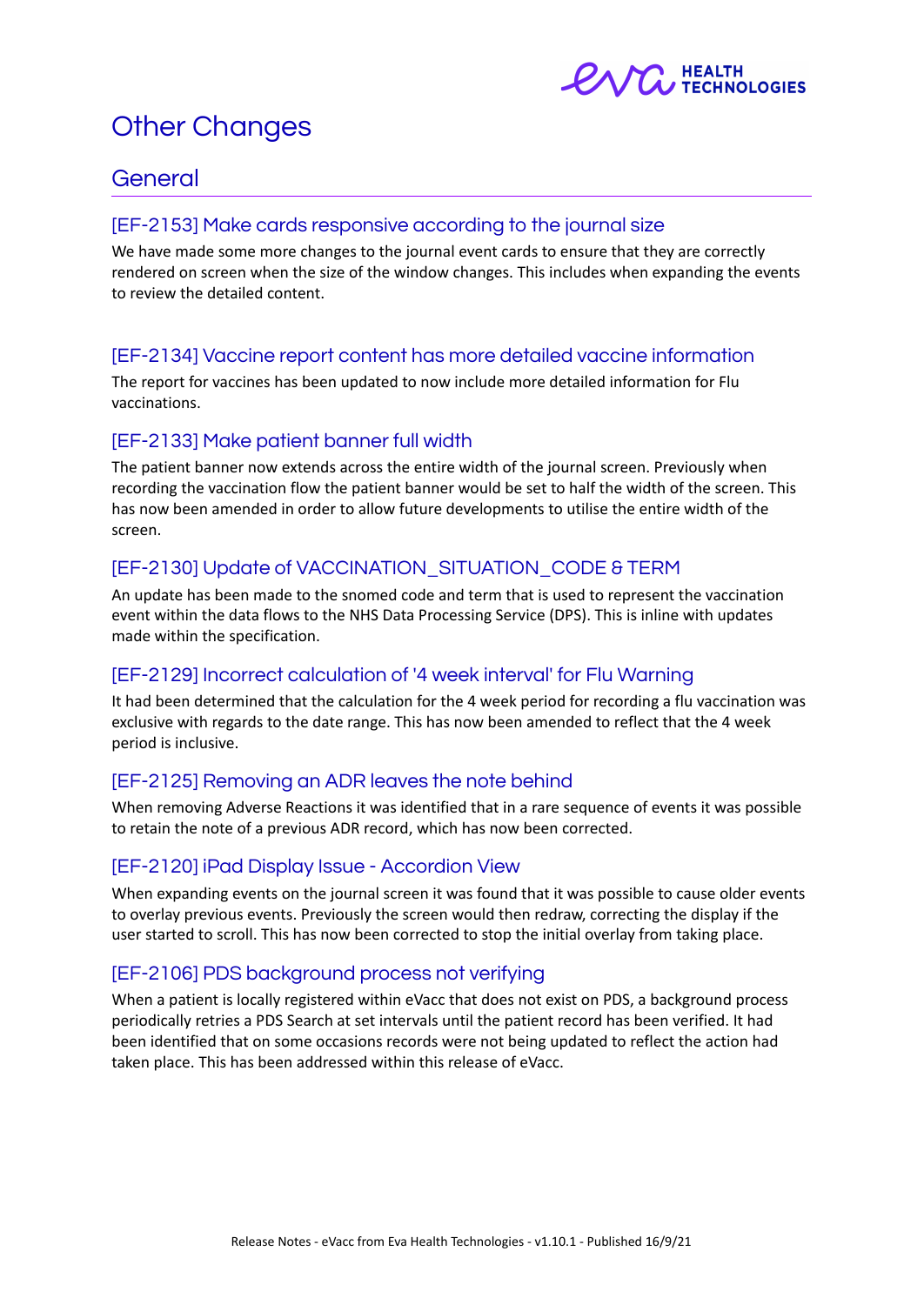

# Other Changes

### General

#### [EF-2153] Make cards responsive according to the journal size

We have made some more changes to the journal event cards to ensure that they are correctly rendered on screen when the size of the window changes. This includes when expanding the events to review the detailed content.

#### [EF-2134] Vaccine report content has more detailed vaccine information

The report for vaccines has been updated to now include more detailed information for Flu vaccinations.

#### [EF-2133] Make patient banner full width

The patient banner now extends across the entire width of the journal screen. Previously when recording the vaccination flow the patient banner would be set to half the width of the screen. This has now been amended in order to allow future developments to utilise the entire width of the screen.

#### [EF-2130] Update of VACCINATION\_SITUATION\_CODE & TERM

An update has been made to the snomed code and term that is used to represent the vaccination event within the data flows to the NHS Data Processing Service (DPS). This is inline with updates made within the specification.

#### [EF-2129] Incorrect calculation of '4 week interval' for Flu Warning

It had been determined that the calculation for the 4 week period for recording a flu vaccination was exclusive with regards to the date range. This has now been amended to reflect that the 4 week period is inclusive.

#### [EF-2125] Removing an ADR leaves the note behind

When removing Adverse Reactions it was identified that in a rare sequence of events it was possible to retain the note of a previous ADR record, which has now been corrected.

#### [EF-2120] iPad Display Issue - Accordion View

When expanding events on the journal screen it was found that it was possible to cause older events to overlay previous events. Previously the screen would then redraw, correcting the display if the user started to scroll. This has now been corrected to stop the initial overlay from taking place.

#### [EF-2106] PDS background process not verifying

When a patient is locally registered within eVacc that does not exist on PDS, a background process periodically retries a PDS Search at set intervals until the patient record has been verified. It had been identified that on some occasions records were not being updated to reflect the action had taken place. This has been addressed within this release of eVacc.